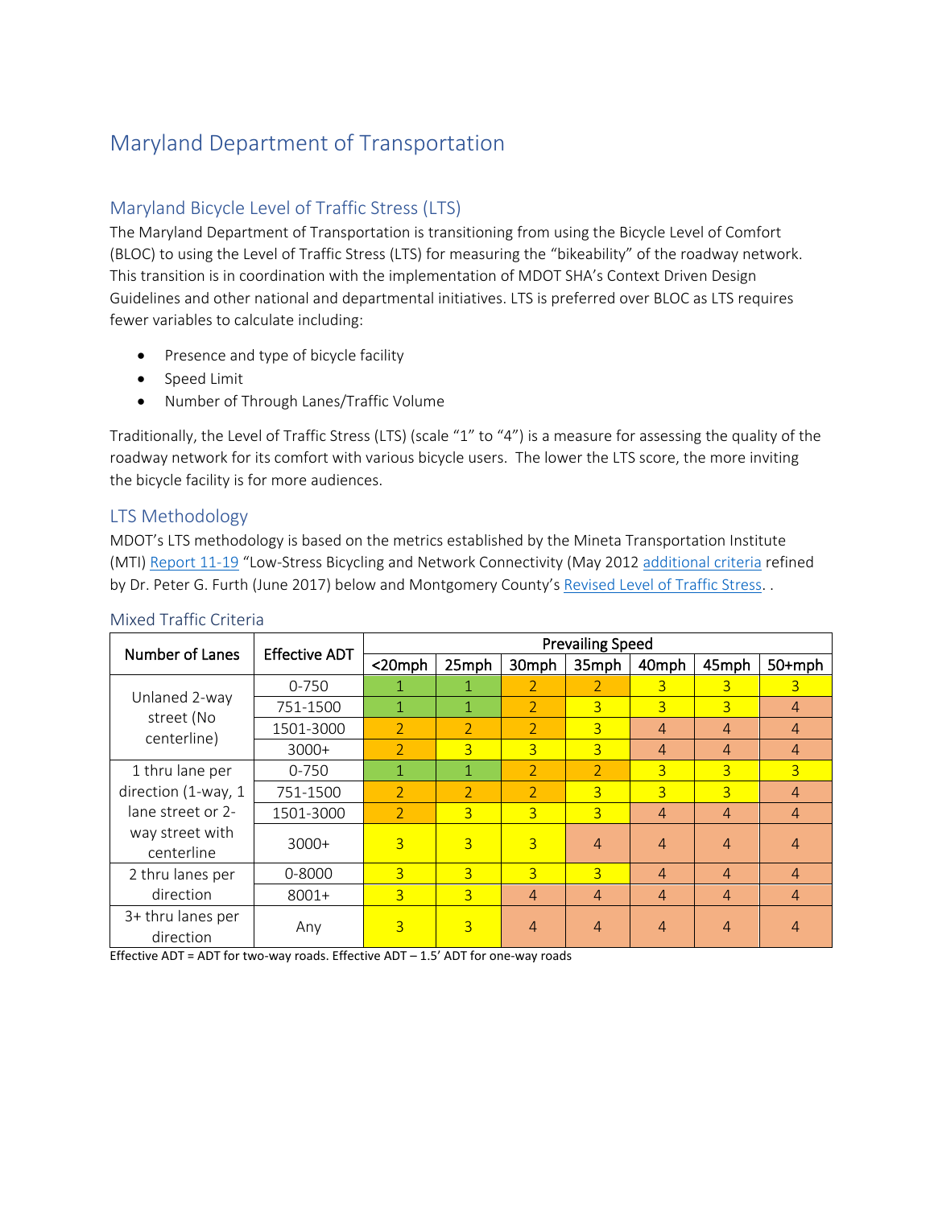# Maryland Department of Transportation

# Maryland Bicycle Level of Traffic Stress (LTS)

The Maryland Department of Transportation is transitioning from using the Bicycle Level of Comfort (BLOC) to using the Level of Traffic Stress (LTS) for measuring the "bikeability" of the roadway network. This transition is in coordination with the implementation of MDOT SHA's Context Driven Design Guidelines and other national and departmental initiatives. LTS is preferred over BLOC as LTS requires fewer variables to calculate including:

- Presence and type of bicycle facility
- Speed Limit
- Number of Through Lanes/Traffic Volume

Traditionally, the Level of Traffic Stress (LTS) (scale "1" to "4") is a measure for assessing the quality of the roadway network for its comfort with various bicycle users. The lower the LTS score, the more inviting the bicycle facility is for more audiences.

## LTS Methodology

MDOT's LTS methodology is based on the metrics established by the Mineta Transportation Institute (MTI) [Report 11-19](https://transweb.sjsu.edu/sites/default/files/1005-low-stress-bicycling-network-connectivity.pdf) "Low-Stress Bicycling and Network Connectivity (May 201[2 additional criteria](https://cpb-us-w2.wpmucdn.com/sites.northeastern.edu/dist/e/618/files/2014/05/LTS-Tables-v2-June-1.pdf) refined by Dr. Peter G. Furth (June 2017) below and Montgomery County's [Revised Level of Traffic Stress.](https://montgomeryplanning.org/wp-content/uploads/2017/11/Appendix-D.pdf) .

|                                |                      | <b>Prevailing Speed</b>  |                |                |                |                |                |                |  |
|--------------------------------|----------------------|--------------------------|----------------|----------------|----------------|----------------|----------------|----------------|--|
| Number of Lanes                | <b>Effective ADT</b> | $20$ mph                 | 25mph          | 30mph          | 35mph          | 40mph          | 45mph          | $50+mph$       |  |
|                                | $0 - 750$            | 1                        |                | 2              | 2              | 3              | 3              | $\overline{3}$ |  |
| Unlaned 2-way                  | 751-1500             | 1                        | 1              | $\overline{2}$ | $\overline{3}$ | $\overline{3}$ | $\overline{3}$ | $\overline{4}$ |  |
| street (No<br>centerline)      | 1501-3000            | $\overline{\phantom{0}}$ | $\overline{2}$ | $\overline{2}$ | $\overline{3}$ | $\overline{4}$ | $\overline{4}$ | $\overline{4}$ |  |
|                                | $3000+$              | $\overline{2}$           | $\overline{3}$ | $\overline{3}$ | 3              | $\overline{4}$ | $\overline{4}$ | $\overline{4}$ |  |
| 1 thru lane per                | $0 - 750$            | 1                        | 1              | $\overline{2}$ | $\overline{2}$ | $\overline{3}$ | $\overline{3}$ | $\overline{3}$ |  |
| direction (1-way, 1            | 751-1500             | $\mathcal{P}$            | $\mathcal{P}$  | $\mathcal{P}$  | $\overline{3}$ | 3              | $\overline{3}$ | $\overline{4}$ |  |
| lane street or 2-              | 1501-3000            | $\overline{2}$           | $\overline{3}$ | $\overline{3}$ | $\overline{3}$ | $\overline{4}$ | $\overline{4}$ | $\overline{4}$ |  |
| way street with<br>centerline  | $3000+$              | 3                        | $\overline{3}$ | $\overline{3}$ | 4              | $\overline{4}$ | $\overline{4}$ | $\overline{4}$ |  |
| 2 thru lanes per               | $0 - 8000$           | 3                        | $\overline{3}$ | $\overline{3}$ | $\overline{3}$ | $\overline{4}$ | $\overline{4}$ | $\overline{4}$ |  |
| direction                      | $8001 +$             | $\overline{3}$           | $\overline{3}$ | $\overline{4}$ | 4              | $\overline{4}$ | $\overline{4}$ | $\overline{4}$ |  |
| 3+ thru lanes per<br>direction | Any                  | $\overline{3}$           | 3              | $\overline{4}$ | 4              | $\overline{4}$ | $\overline{4}$ | $\overline{4}$ |  |

## Mixed Traffic Criteria

Effective ADT = ADT for two-way roads. Effective ADT  $-$  1.5' ADT for one-way roads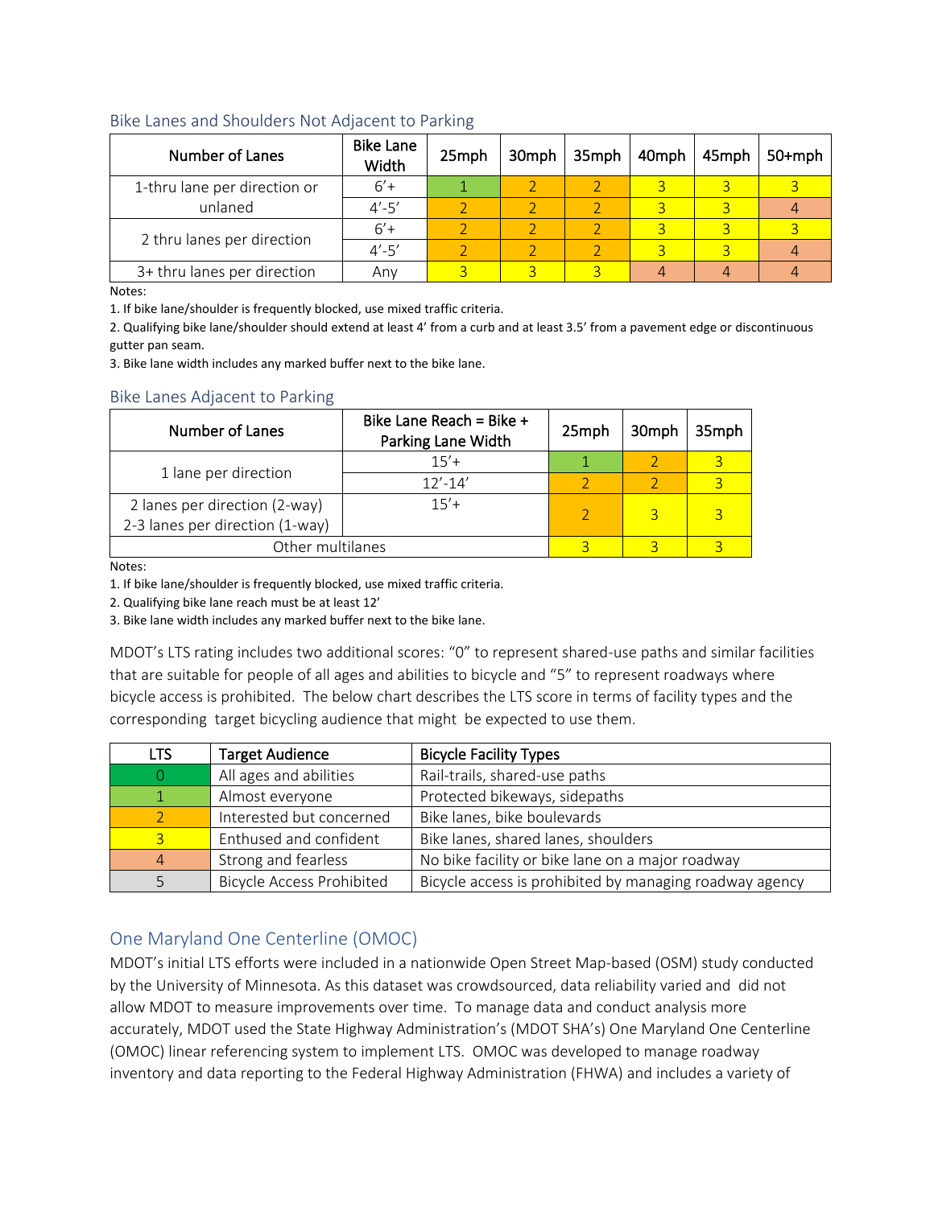#### Bike Lanes and Shoulders Not Adjacent to Parking

| Number of Lanes              | <b>Bike Lane</b><br>Width | 25mph | 30mph | 35mph | 40mph | 45mph | $50+mph$ |
|------------------------------|---------------------------|-------|-------|-------|-------|-------|----------|
| 1-thru lane per direction or | $6'+$                     |       |       |       |       |       |          |
| unlaned                      | $4' - 5'$                 |       |       |       |       |       |          |
| 2 thru lanes per direction   | $6'+$                     |       |       |       |       |       |          |
|                              | $4' - 5'$                 |       |       |       |       |       |          |
| 3+ thru lanes per direction  | Any                       |       |       |       |       |       |          |

Notes:

1. If bike lane/shoulder is frequently blocked, use mixed traffic criteria.

2. Qualifying bike lane/shoulder should extend at least 4' from a curb and at least 3.5' from a pavement edge or discontinuous gutter pan seam.

3. Bike lane width includes any marked buffer next to the bike lane.

#### Bike Lanes Adjacent to Parking

| Number of Lanes                                                  | Bike Lane Reach = Bike $+$<br>Parking Lane Width | 25mph | 30mph | 35mph |
|------------------------------------------------------------------|--------------------------------------------------|-------|-------|-------|
|                                                                  | $15'+$                                           |       |       |       |
| 1 lane per direction                                             | $12' - 14'$                                      |       |       |       |
| 2 lanes per direction (2-way)<br>2-3 lanes per direction (1-way) | $15'+$                                           |       |       |       |
| Other multilanes                                                 |                                                  |       |       |       |

Notes:

1. If bike lane/shoulder is frequently blocked, use mixed traffic criteria.

2. Qualifying bike lane reach must be at least 12'

3. Bike lane width includes any marked buffer next to the bike lane.

MDOT's LTS rating includes two additional scores: "0" to represent shared-use paths and similar facilities that are suitable for people of all ages and abilities to bicycle and "5" to represent roadways where bicycle access is prohibited. The below chart describes the LTS score in terms of facility types and the corresponding target bicycling audience that might be expected to use them.

| LTS | <b>Target Audience</b>           | <b>Bicycle Facility Types</b>                           |
|-----|----------------------------------|---------------------------------------------------------|
|     | All ages and abilities           | Rail-trails, shared-use paths                           |
|     | Almost everyone                  | Protected bikeways, sidepaths                           |
|     | Interested but concerned         | Bike lanes, bike boulevards                             |
|     | Enthused and confident           | Bike lanes, shared lanes, shoulders                     |
|     | Strong and fearless              | No bike facility or bike lane on a major roadway        |
|     | <b>Bicycle Access Prohibited</b> | Bicycle access is prohibited by managing roadway agency |

## One Maryland One Centerline (OMOC)

MDOT's initial LTS efforts were included in a nationwide Open Street Map-based (OSM) study conducted by the University of Minnesota. As this dataset was crowdsourced, data reliability varied and did not allow MDOT to measure improvements over time. To manage data and conduct analysis more accurately, MDOT used the State Highway Administration's (MDOT SHA's) One Maryland One Centerline (OMOC) linear referencing system to implement LTS. OMOC was developed to manage roadway inventory and data reporting to the Federal Highway Administration (FHWA) and includes a variety of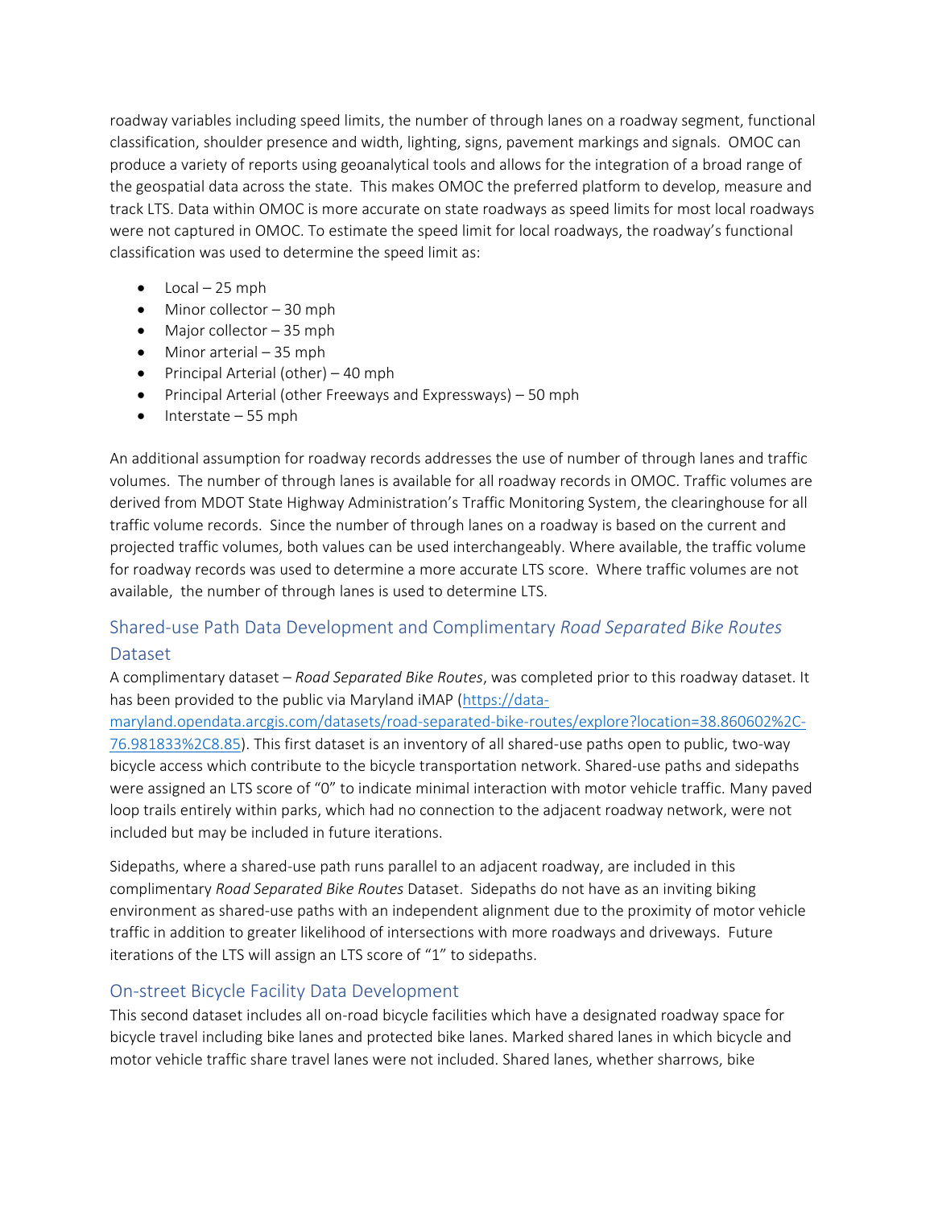roadway variables including speed limits, the number of through lanes on a roadway segment, functional classification, shoulder presence and width, lighting, signs, pavement markings and signals. OMOC can produce a variety of reports using geoanalytical tools and allows for the integration of a broad range of the geospatial data across the state. This makes OMOC the preferred platform to develop, measure and track LTS. Data within OMOC is more accurate on state roadways as speed limits for most local roadways were not captured in OMOC. To estimate the speed limit for local roadways, the roadway's functional classification was used to determine the speed limit as:

- Local  $-25$  mph
- Minor collector 30 mph
- Major collector 35 mph
- Minor arterial 35 mph
- Principal Arterial (other) 40 mph
- Principal Arterial (other Freeways and Expressways) 50 mph
- Interstate 55 mph

An additional assumption for roadway records addresses the use of number of through lanes and traffic volumes. The number of through lanes is available for all roadway records in OMOC. Traffic volumes are derived from MDOT State Highway Administration's Traffic Monitoring System, the clearinghouse for all traffic volume records. Since the number of through lanes on a roadway is based on the current and projected traffic volumes, both values can be used interchangeably. Where available, the traffic volume for roadway records was used to determine a more accurate LTS score. Where traffic volumes are not available, the number of through lanes is used to determine LTS.

# Shared-use Path Data Development and Complimentary *Road Separated Bike Routes*  Dataset

A complimentary dataset – *Road Separated Bike Routes*, was completed prior to this roadway dataset. It has been provided to the public via Maryland iMAP [\(https://data-](https://data-maryland.opendata.arcgis.com/datasets/road-separated-bike-routes/explore?location=38.860602%2C-76.981833%2C8.85)

[maryland.opendata.arcgis.com/datasets/road-separated-bike-routes/explore?location=38.860602%2C-](https://data-maryland.opendata.arcgis.com/datasets/road-separated-bike-routes/explore?location=38.860602%2C-76.981833%2C8.85)[76.981833%2C8.85\)](https://data-maryland.opendata.arcgis.com/datasets/road-separated-bike-routes/explore?location=38.860602%2C-76.981833%2C8.85). This first dataset is an inventory of all shared-use paths open to public, two-way bicycle access which contribute to the bicycle transportation network. Shared-use paths and sidepaths were assigned an LTS score of "0" to indicate minimal interaction with motor vehicle traffic. Many paved loop trails entirely within parks, which had no connection to the adjacent roadway network, were not included but may be included in future iterations.

Sidepaths, where a shared-use path runs parallel to an adjacent roadway, are included in this complimentary *Road Separated Bike Routes* Dataset. Sidepaths do not have as an inviting biking environment as shared-use paths with an independent alignment due to the proximity of motor vehicle traffic in addition to greater likelihood of intersections with more roadways and driveways. Future iterations of the LTS will assign an LTS score of "1" to sidepaths.

## On-street Bicycle Facility Data Development

This second dataset includes all on-road bicycle facilities which have a designated roadway space for bicycle travel including bike lanes and protected bike lanes. Marked shared lanes in which bicycle and motor vehicle traffic share travel lanes were not included. Shared lanes, whether sharrows, bike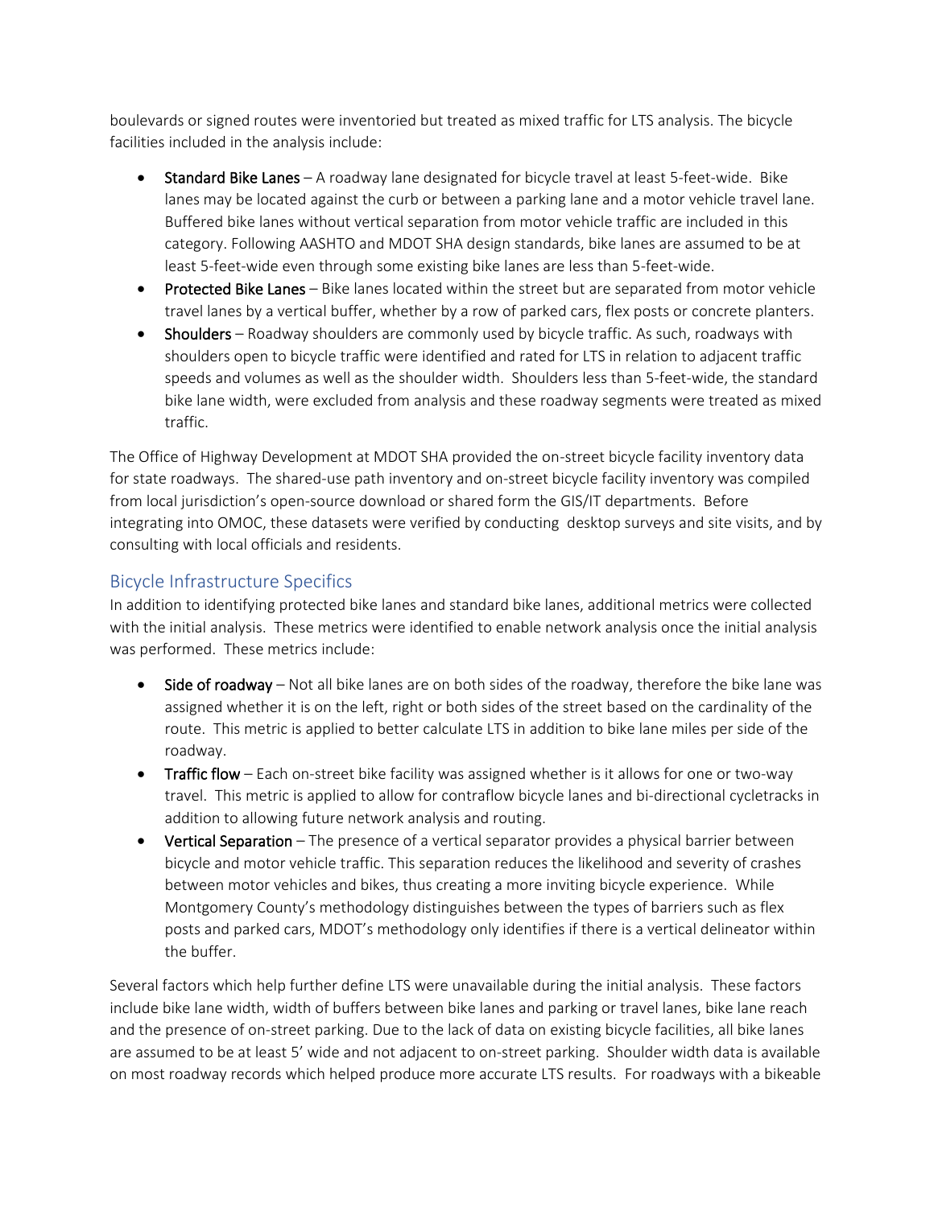boulevards or signed routes were inventoried but treated as mixed traffic for LTS analysis. The bicycle facilities included in the analysis include:

- Standard Bike Lanes A roadway lane designated for bicycle travel at least 5-feet-wide. Bike lanes may be located against the curb or between a parking lane and a motor vehicle travel lane. Buffered bike lanes without vertical separation from motor vehicle traffic are included in this category. Following AASHTO and MDOT SHA design standards, bike lanes are assumed to be at least 5-feet-wide even through some existing bike lanes are less than 5-feet-wide.
- Protected Bike Lanes Bike lanes located within the street but are separated from motor vehicle travel lanes by a vertical buffer, whether by a row of parked cars, flex posts or concrete planters.
- Shoulders Roadway shoulders are commonly used by bicycle traffic. As such, roadways with shoulders open to bicycle traffic were identified and rated for LTS in relation to adjacent traffic speeds and volumes as well as the shoulder width. Shoulders less than 5-feet-wide, the standard bike lane width, were excluded from analysis and these roadway segments were treated as mixed traffic.

The Office of Highway Development at MDOT SHA provided the on-street bicycle facility inventory data for state roadways. The shared-use path inventory and on-street bicycle facility inventory was compiled from local jurisdiction's open-source download or shared form the GIS/IT departments. Before integrating into OMOC, these datasets were verified by conducting desktop surveys and site visits, and by consulting with local officials and residents.

## Bicycle Infrastructure Specifics

In addition to identifying protected bike lanes and standard bike lanes, additional metrics were collected with the initial analysis. These metrics were identified to enable network analysis once the initial analysis was performed. These metrics include:

- **Side of roadway** Not all bike lanes are on both sides of the roadway, therefore the bike lane was assigned whether it is on the left, right or both sides of the street based on the cardinality of the route. This metric is applied to better calculate LTS in addition to bike lane miles per side of the roadway.
- Traffic flow Each on-street bike facility was assigned whether is it allows for one or two-way travel. This metric is applied to allow for contraflow bicycle lanes and bi-directional cycletracks in addition to allowing future network analysis and routing.
- **•** Vertical Separation The presence of a vertical separator provides a physical barrier between bicycle and motor vehicle traffic. This separation reduces the likelihood and severity of crashes between motor vehicles and bikes, thus creating a more inviting bicycle experience. While Montgomery County's methodology distinguishes between the types of barriers such as flex posts and parked cars, MDOT's methodology only identifies if there is a vertical delineator within the buffer.

Several factors which help further define LTS were unavailable during the initial analysis. These factors include bike lane width, width of buffers between bike lanes and parking or travel lanes, bike lane reach and the presence of on-street parking. Due to the lack of data on existing bicycle facilities, all bike lanes are assumed to be at least 5' wide and not adjacent to on-street parking. Shoulder width data is available on most roadway records which helped produce more accurate LTS results. For roadways with a bikeable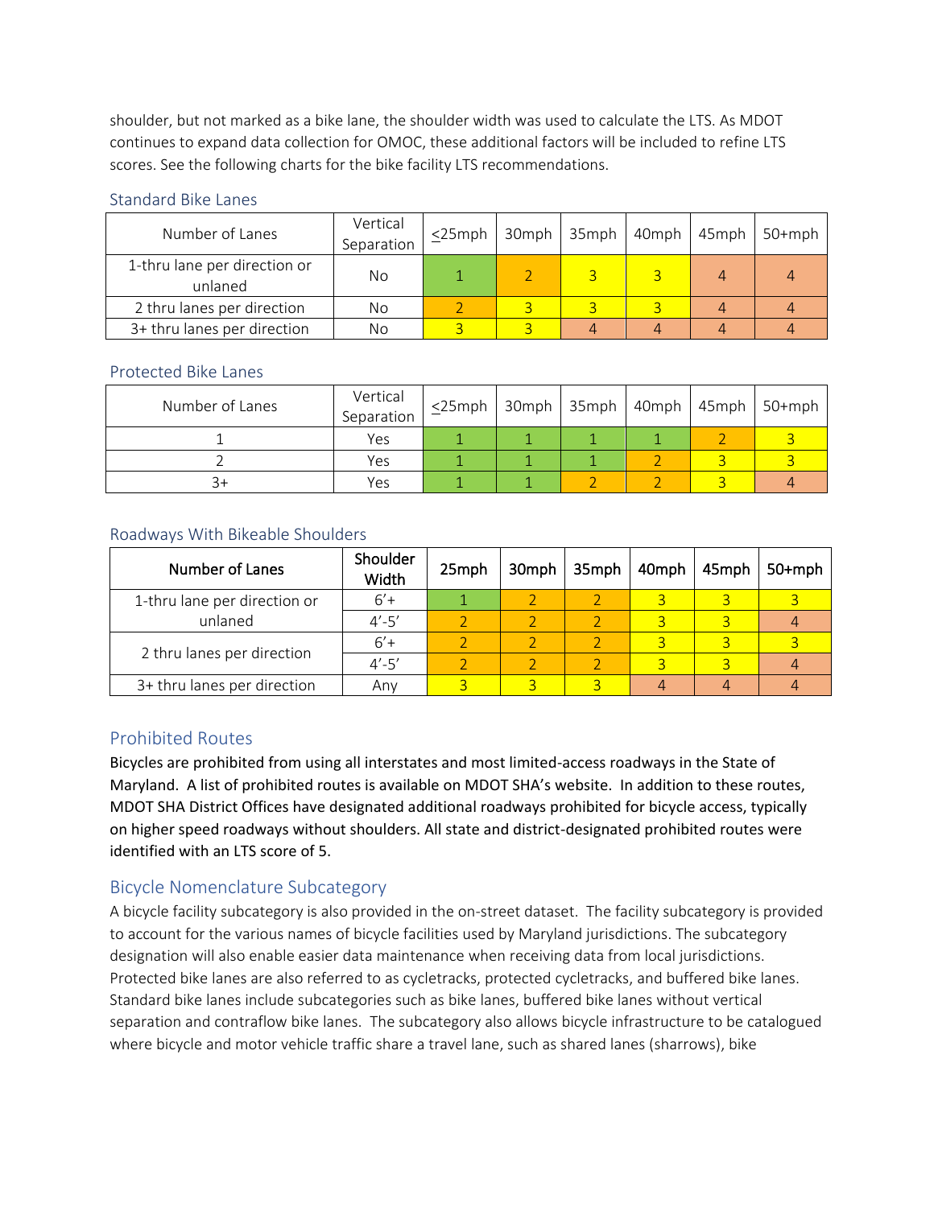shoulder, but not marked as a bike lane, the shoulder width was used to calculate the LTS. As MDOT continues to expand data collection for OMOC, these additional factors will be included to refine LTS scores. See the following charts for the bike facility LTS recommendations.

#### Standard Bike Lanes

| Number of Lanes                         | Vertical<br>Separation | $<$ 25mph | 30mph | $35$ mph | $40$ mph $45$ mph | 50+mph |
|-----------------------------------------|------------------------|-----------|-------|----------|-------------------|--------|
| 1-thru lane per direction or<br>unlaned | No                     |           |       |          | Δ                 |        |
| 2 thru lanes per direction              | No                     |           |       |          |                   |        |
| 3+ thru lanes per direction             | No                     |           |       |          |                   |        |

#### Protected Bike Lanes

| Number of Lanes | Vertical<br>Separation | $\leq$ 25mph   30mph   35mph   40mph   45mph   50+mph |  |  |  |
|-----------------|------------------------|-------------------------------------------------------|--|--|--|
|                 | Yes                    |                                                       |  |  |  |
|                 | Yes                    |                                                       |  |  |  |
|                 | Yes                    |                                                       |  |  |  |

#### Roadways With Bikeable Shoulders

| Number of Lanes              | Shoulder<br>Width | 25mph | 30mph | $35$ mph | 40mph | 45mph          | $50+mph$ |
|------------------------------|-------------------|-------|-------|----------|-------|----------------|----------|
| 1-thru lane per direction or | $6'+$             |       |       |          |       |                |          |
| unlaned                      | $4' - 5'$         |       |       |          |       | $\overline{a}$ |          |
|                              | $6'+$             |       |       |          |       |                |          |
| 2 thru lanes per direction   | $4' - 5'$         |       |       |          |       |                |          |
| 3+ thru lanes per direction  | Anv               |       |       |          |       |                |          |

# Prohibited Routes

Bicycles are prohibited from using all interstates and most limited-access roadways in the State of Maryland. A list of prohibited routes is available on MDOT SHA's website. In addition to these routes, MDOT SHA District Offices have designated additional roadways prohibited for bicycle access, typically on higher speed roadways without shoulders. All state and district-designated prohibited routes were identified with an LTS score of 5.

## Bicycle Nomenclature Subcategory

A bicycle facility subcategory is also provided in the on-street dataset. The facility subcategory is provided to account for the various names of bicycle facilities used by Maryland jurisdictions. The subcategory designation will also enable easier data maintenance when receiving data from local jurisdictions. Protected bike lanes are also referred to as cycletracks, protected cycletracks, and buffered bike lanes. Standard bike lanes include subcategories such as bike lanes, buffered bike lanes without vertical separation and contraflow bike lanes. The subcategory also allows bicycle infrastructure to be catalogued where bicycle and motor vehicle traffic share a travel lane, such as shared lanes (sharrows), bike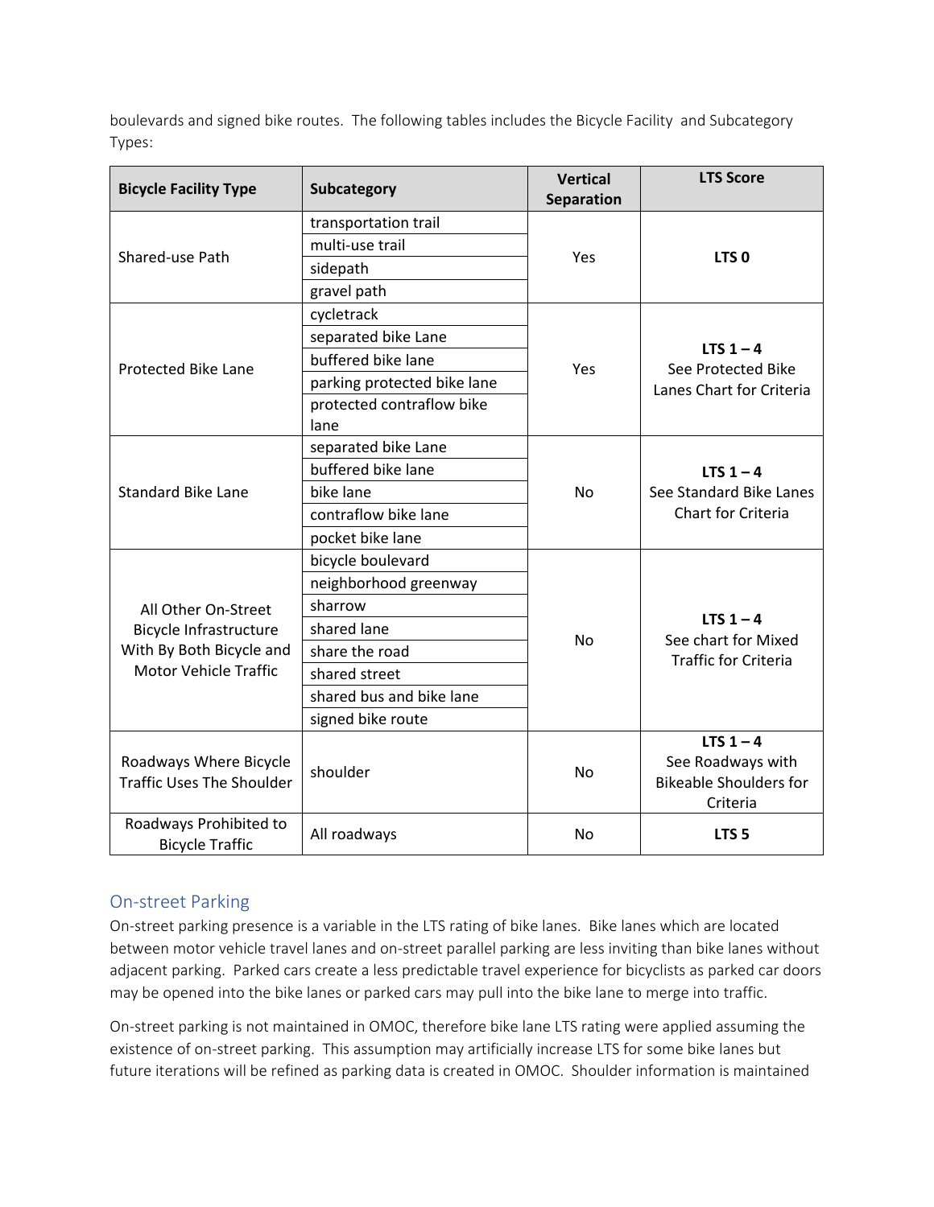boulevards and signed bike routes. The following tables includes the Bicycle Facility and Subcategory Types:

| <b>Bicycle Facility Type</b>                               | Subcategory                 | <b>Vertical</b><br>Separation | <b>LTS Score</b>                                                              |  |  |
|------------------------------------------------------------|-----------------------------|-------------------------------|-------------------------------------------------------------------------------|--|--|
|                                                            | transportation trail        |                               |                                                                               |  |  |
| Shared-use Path                                            | multi-use trail             |                               |                                                                               |  |  |
|                                                            | sidepath                    | Yes                           | LTS <sub>0</sub>                                                              |  |  |
|                                                            | gravel path                 |                               |                                                                               |  |  |
|                                                            | cycletrack                  |                               |                                                                               |  |  |
|                                                            | separated bike Lane         |                               | LTS $1 - 4$                                                                   |  |  |
| <b>Protected Bike Lane</b>                                 | buffered bike lane          | Yes                           | See Protected Bike                                                            |  |  |
|                                                            | parking protected bike lane |                               | Lanes Chart for Criteria                                                      |  |  |
|                                                            | protected contraflow bike   |                               |                                                                               |  |  |
|                                                            | lane                        |                               |                                                                               |  |  |
|                                                            | separated bike Lane         |                               |                                                                               |  |  |
| <b>Standard Bike Lane</b>                                  | buffered bike lane          |                               | LTS $1 - 4$                                                                   |  |  |
|                                                            | bike lane                   | <b>No</b>                     | See Standard Bike Lanes                                                       |  |  |
|                                                            | contraflow bike lane        |                               | Chart for Criteria                                                            |  |  |
|                                                            | pocket bike lane            |                               |                                                                               |  |  |
|                                                            | bicycle boulevard           |                               |                                                                               |  |  |
|                                                            | neighborhood greenway       |                               |                                                                               |  |  |
| All Other On-Street                                        | sharrow                     |                               |                                                                               |  |  |
| <b>Bicycle Infrastructure</b>                              | shared lane                 | <b>No</b>                     | LTS $1 - 4$<br>See chart for Mixed                                            |  |  |
| With By Both Bicycle and                                   | share the road              |                               | <b>Traffic for Criteria</b>                                                   |  |  |
| <b>Motor Vehicle Traffic</b>                               | shared street               |                               |                                                                               |  |  |
|                                                            | shared bus and bike lane    |                               |                                                                               |  |  |
|                                                            | signed bike route           |                               |                                                                               |  |  |
| Roadways Where Bicycle<br><b>Traffic Uses The Shoulder</b> | shoulder                    | <b>No</b>                     | LTS $1 - 4$<br>See Roadways with<br><b>Bikeable Shoulders for</b><br>Criteria |  |  |
| Roadways Prohibited to<br><b>Bicycle Traffic</b>           | All roadways                | <b>No</b>                     | LTS <sub>5</sub>                                                              |  |  |

# On-street Parking

On-street parking presence is a variable in the LTS rating of bike lanes. Bike lanes which are located between motor vehicle travel lanes and on-street parallel parking are less inviting than bike lanes without adjacent parking. Parked cars create a less predictable travel experience for bicyclists as parked car doors may be opened into the bike lanes or parked cars may pull into the bike lane to merge into traffic.

On-street parking is not maintained in OMOC, therefore bike lane LTS rating were applied assuming the existence of on-street parking. This assumption may artificially increase LTS for some bike lanes but future iterations will be refined as parking data is created in OMOC. Shoulder information is maintained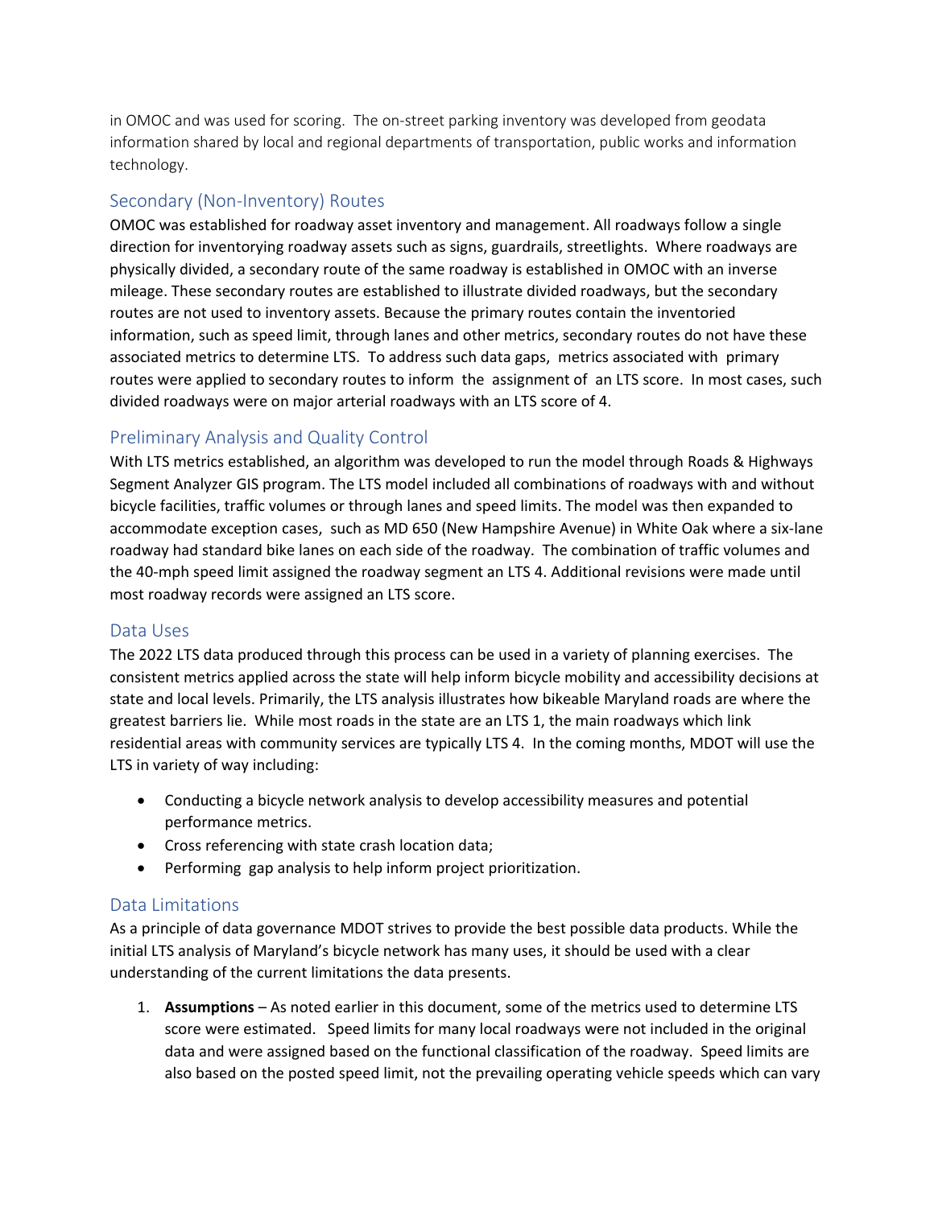in OMOC and was used for scoring. The on-street parking inventory was developed from geodata information shared by local and regional departments of transportation, public works and information technology.

#### Secondary (Non-Inventory) Routes

OMOC was established for roadway asset inventory and management. All roadways follow a single direction for inventorying roadway assets such as signs, guardrails, streetlights. Where roadways are physically divided, a secondary route of the same roadway is established in OMOC with an inverse mileage. These secondary routes are established to illustrate divided roadways, but the secondary routes are not used to inventory assets. Because the primary routes contain the inventoried information, such as speed limit, through lanes and other metrics, secondary routes do not have these associated metrics to determine LTS. To address such data gaps, metrics associated with primary routes were applied to secondary routes to inform the assignment of an LTS score. In most cases, such divided roadways were on major arterial roadways with an LTS score of 4.

## Preliminary Analysis and Quality Control

With LTS metrics established, an algorithm was developed to run the model through Roads & Highways Segment Analyzer GIS program. The LTS model included all combinations of roadways with and without bicycle facilities, traffic volumes or through lanes and speed limits. The model was then expanded to accommodate exception cases, such as MD 650 (New Hampshire Avenue) in White Oak where a six-lane roadway had standard bike lanes on each side of the roadway. The combination of traffic volumes and the 40-mph speed limit assigned the roadway segment an LTS 4. Additional revisions were made until most roadway records were assigned an LTS score.

#### Data Uses

The 2022 LTS data produced through this process can be used in a variety of planning exercises. The consistent metrics applied across the state will help inform bicycle mobility and accessibility decisions at state and local levels. Primarily, the LTS analysis illustrates how bikeable Maryland roads are where the greatest barriers lie. While most roads in the state are an LTS 1, the main roadways which link residential areas with community services are typically LTS 4. In the coming months, MDOT will use the LTS in variety of way including:

- Conducting a bicycle network analysis to develop accessibility measures and potential performance metrics.
- Cross referencing with state crash location data;
- Performing gap analysis to help inform project prioritization.

## Data Limitations

As a principle of data governance MDOT strives to provide the best possible data products. While the initial LTS analysis of Maryland's bicycle network has many uses, it should be used with a clear understanding of the current limitations the data presents.

1. **Assumptions** – As noted earlier in this document, some of the metrics used to determine LTS score were estimated. Speed limits for many local roadways were not included in the original data and were assigned based on the functional classification of the roadway. Speed limits are also based on the posted speed limit, not the prevailing operating vehicle speeds which can vary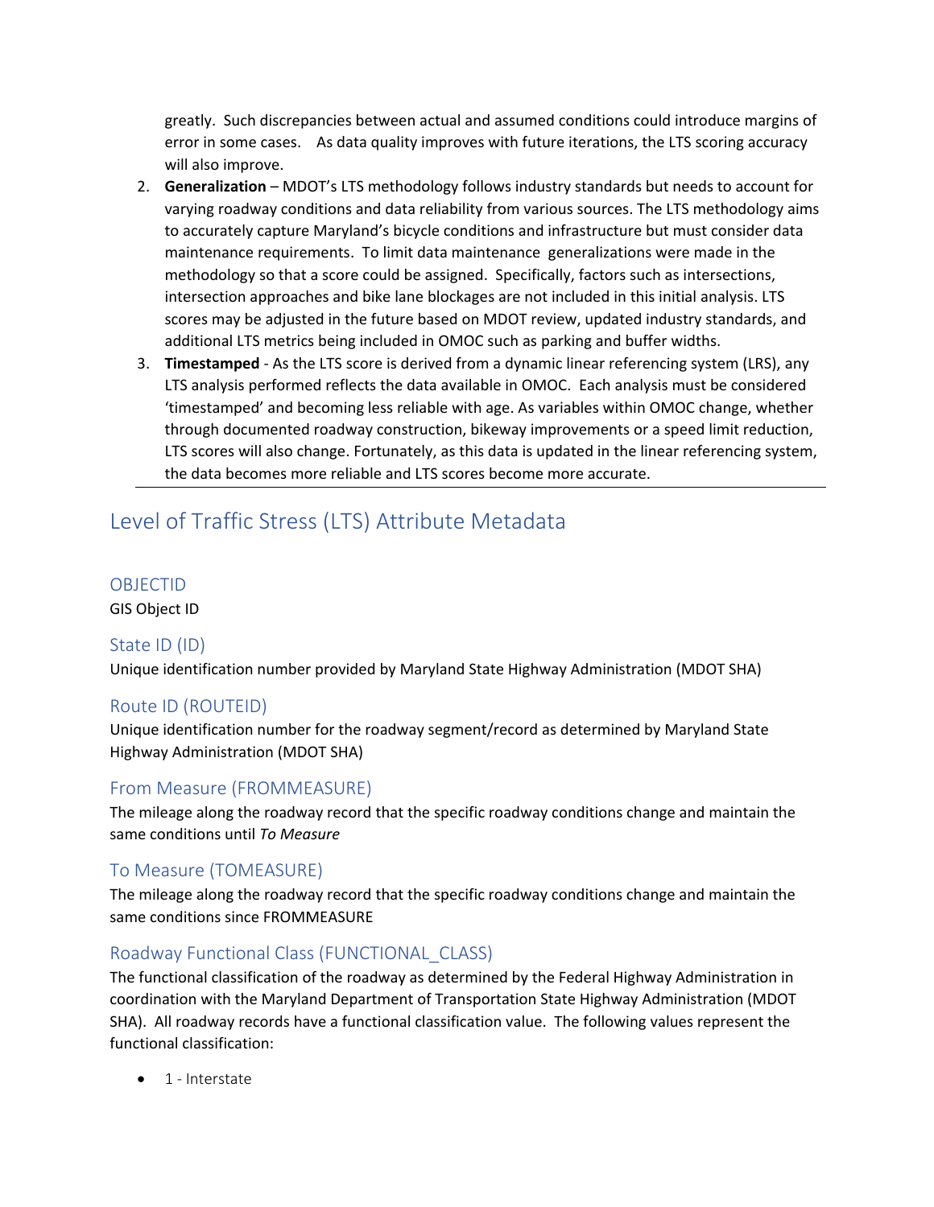greatly. Such discrepancies between actual and assumed conditions could introduce margins of error in some cases. As data quality improves with future iterations, the LTS scoring accuracy will also improve.

- 2. **Generalization**  MDOT's LTS methodology follows industry standards but needs to account for varying roadway conditions and data reliability from various sources. The LTS methodology aims to accurately capture Maryland's bicycle conditions and infrastructure but must consider data maintenance requirements. To limit data maintenance generalizations were made in the methodology so that a score could be assigned. Specifically, factors such as intersections, intersection approaches and bike lane blockages are not included in this initial analysis. LTS scores may be adjusted in the future based on MDOT review, updated industry standards, and additional LTS metrics being included in OMOC such as parking and buffer widths.
- 3. **Timestamped** As the LTS score is derived from a dynamic linear referencing system (LRS), any LTS analysis performed reflects the data available in OMOC. Each analysis must be considered 'timestamped' and becoming less reliable with age. As variables within OMOC change, whether through documented roadway construction, bikeway improvements or a speed limit reduction, LTS scores will also change. Fortunately, as this data is updated in the linear referencing system, the data becomes more reliable and LTS scores become more accurate.

# Level of Traffic Stress (LTS) Attribute Metadata

#### OBJECTID

GIS Object ID

## State ID (ID)

Unique identification number provided by Maryland State Highway Administration (MDOT SHA)

## Route ID (ROUTEID)

Unique identification number for the roadway segment/record as determined by Maryland State Highway Administration (MDOT SHA)

## From Measure (FROMMEASURE)

The mileage along the roadway record that the specific roadway conditions change and maintain the same conditions until *To Measure*

## To Measure (TOMEASURE)

The mileage along the roadway record that the specific roadway conditions change and maintain the same conditions since FROMMEASURE

## Roadway Functional Class (FUNCTIONAL\_CLASS)

The functional classification of the roadway as determined by the Federal Highway Administration in coordination with the Maryland Department of Transportation State Highway Administration (MDOT SHA). All roadway records have a functional classification value. The following values represent the functional classification:

• 1 - Interstate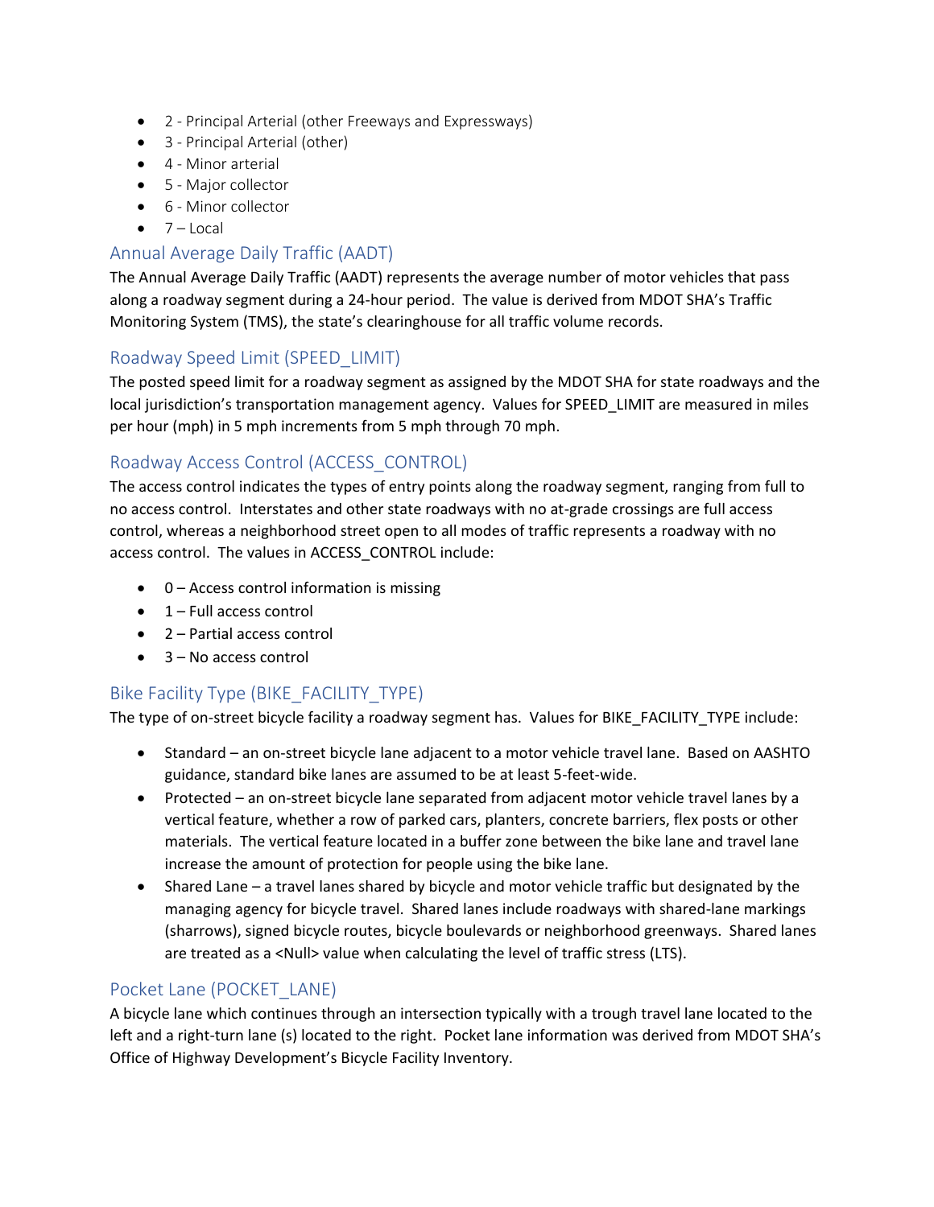- 2 Principal Arterial (other Freeways and Expressways)
- 3 Principal Arterial (other)
- 4 Minor arterial
- 5 Major collector
- 6 Minor collector
- $\bullet$  7 Local

## Annual Average Daily Traffic (AADT)

The Annual Average Daily Traffic (AADT) represents the average number of motor vehicles that pass along a roadway segment during a 24-hour period. The value is derived from MDOT SHA's Traffic Monitoring System (TMS), the state's clearinghouse for all traffic volume records.

# Roadway Speed Limit (SPEED\_LIMIT)

The posted speed limit for a roadway segment as assigned by the MDOT SHA for state roadways and the local jurisdiction's transportation management agency. Values for SPEED LIMIT are measured in miles per hour (mph) in 5 mph increments from 5 mph through 70 mph.

# Roadway Access Control (ACCESS\_CONTROL)

The access control indicates the types of entry points along the roadway segment, ranging from full to no access control. Interstates and other state roadways with no at-grade crossings are full access control, whereas a neighborhood street open to all modes of traffic represents a roadway with no access control. The values in ACCESS\_CONTROL include:

- 0 Access control information is missing
- $\bullet$  1 Full access control
- 2 Partial access control
- 3 No access control

# Bike Facility Type (BIKE\_FACILITY\_TYPE)

The type of on-street bicycle facility a roadway segment has. Values for BIKE\_FACILITY\_TYPE include:

- Standard an on-street bicycle lane adjacent to a motor vehicle travel lane. Based on AASHTO guidance, standard bike lanes are assumed to be at least 5-feet-wide.
- Protected an on-street bicycle lane separated from adjacent motor vehicle travel lanes by a vertical feature, whether a row of parked cars, planters, concrete barriers, flex posts or other materials. The vertical feature located in a buffer zone between the bike lane and travel lane increase the amount of protection for people using the bike lane.
- Shared Lane a travel lanes shared by bicycle and motor vehicle traffic but designated by the managing agency for bicycle travel. Shared lanes include roadways with shared-lane markings (sharrows), signed bicycle routes, bicycle boulevards or neighborhood greenways. Shared lanes are treated as a <Null> value when calculating the level of traffic stress (LTS).

# Pocket Lane (POCKET\_LANE)

A bicycle lane which continues through an intersection typically with a trough travel lane located to the left and a right-turn lane (s) located to the right. Pocket lane information was derived from MDOT SHA's Office of Highway Development's Bicycle Facility Inventory.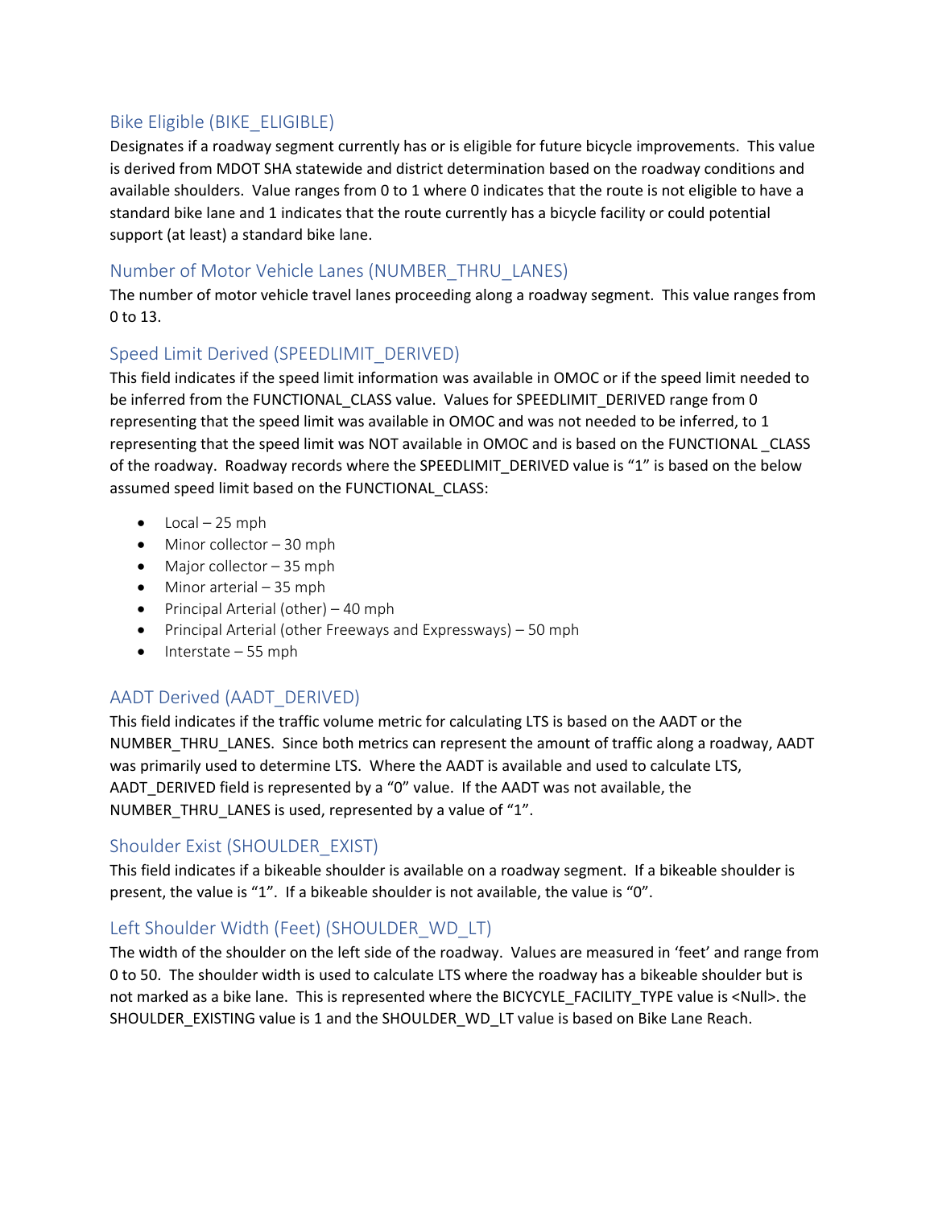# Bike Eligible (BIKE\_ELIGIBLE)

Designates if a roadway segment currently has or is eligible for future bicycle improvements. This value is derived from MDOT SHA statewide and district determination based on the roadway conditions and available shoulders. Value ranges from 0 to 1 where 0 indicates that the route is not eligible to have a standard bike lane and 1 indicates that the route currently has a bicycle facility or could potential support (at least) a standard bike lane.

## Number of Motor Vehicle Lanes (NUMBER\_THRU\_LANES)

The number of motor vehicle travel lanes proceeding along a roadway segment. This value ranges from 0 to 13.

## Speed Limit Derived (SPEEDLIMIT\_DERIVED)

This field indicates if the speed limit information was available in OMOC or if the speed limit needed to be inferred from the FUNCTIONAL CLASS value. Values for SPEEDLIMIT\_DERIVED range from 0 representing that the speed limit was available in OMOC and was not needed to be inferred, to 1 representing that the speed limit was NOT available in OMOC and is based on the FUNCTIONAL \_CLASS of the roadway. Roadway records where the SPEEDLIMIT\_DERIVED value is "1" is based on the below assumed speed limit based on the FUNCTIONAL\_CLASS:

- $\bullet$  Local 25 mph
- Minor collector 30 mph
- Major collector 35 mph
- Minor arterial 35 mph
- Principal Arterial (other) 40 mph
- Principal Arterial (other Freeways and Expressways) 50 mph
- Interstate 55 mph

# AADT Derived (AADT\_DERIVED)

This field indicates if the traffic volume metric for calculating LTS is based on the AADT or the NUMBER\_THRU\_LANES. Since both metrics can represent the amount of traffic along a roadway, AADT was primarily used to determine LTS. Where the AADT is available and used to calculate LTS, AADT\_DERIVED field is represented by a "0" value. If the AADT was not available, the NUMBER\_THRU\_LANES is used, represented by a value of "1".

# Shoulder Exist (SHOULDER\_EXIST)

This field indicates if a bikeable shoulder is available on a roadway segment. If a bikeable shoulder is present, the value is "1". If a bikeable shoulder is not available, the value is "0".

# Left Shoulder Width (Feet) (SHOULDER WD LT)

The width of the shoulder on the left side of the roadway. Values are measured in 'feet' and range from 0 to 50. The shoulder width is used to calculate LTS where the roadway has a bikeable shoulder but is not marked as a bike lane. This is represented where the BICYCYLE\_FACILITY\_TYPE value is <Null>. the SHOULDER\_EXISTING value is 1 and the SHOULDER\_WD\_LT value is based on Bike Lane Reach.